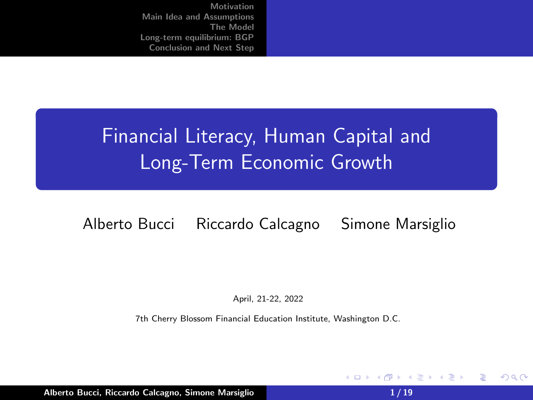# Financial Literacy, Human Capital and Long-Term Economic Growth

### Alberto Bucci Riccardo Calcagno Simone Marsiglio

April, 21-22, 2022

7th Cherry Blossom Financial Education Institute, Washington D.C.

Alberto Bucci, Riccardo Calcagno, Simone Marsiglio 1 / 19

④ → → ミ

メイヨメ

4 0 F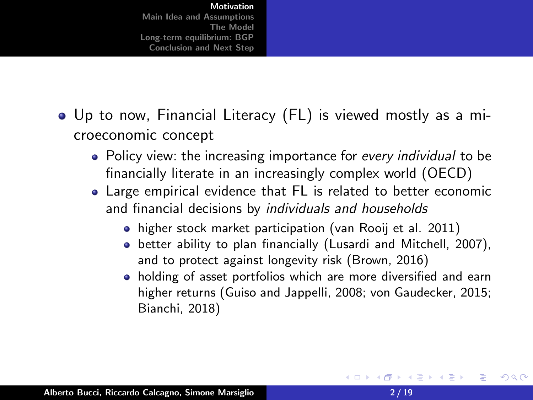- Up to now, Financial Literacy (FL) is viewed mostly as a microeconomic concept
	- Policy view: the increasing importance for *every individual* to be financially literate in an increasingly complex world (OECD)
	- Large empirical evidence that FL is related to better economic and financial decisions by individuals and households
		- higher stock market participation (van Rooij et al. 2011)
		- better ability to plan financially (Lusardi and Mitchell, 2007), and to protect against longevity risk (Brown, 2016)
		- holding of asset portfolios which are more diversified and earn higher returns (Guiso and Jappelli, 2008; von Gaudecker, 2015; Bianchi, 2018)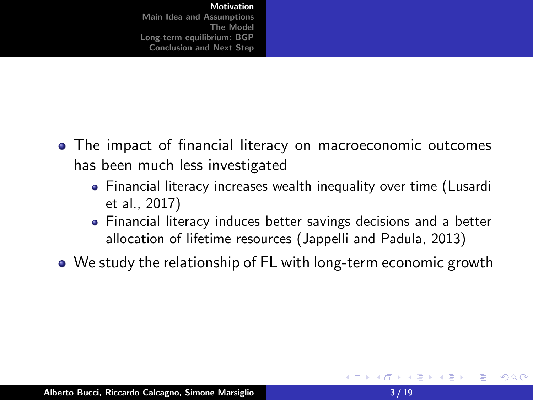- <span id="page-2-0"></span>The impact of financial literacy on macroeconomic outcomes has been much less investigated
	- Financial literacy increases wealth inequality over time (Lusardi et al., 2017)
	- Financial literacy induces better savings decisions and a better allocation of lifetime resources (Jappelli and Padula, 2013)
- We study the relationship of FL with long-term economic growth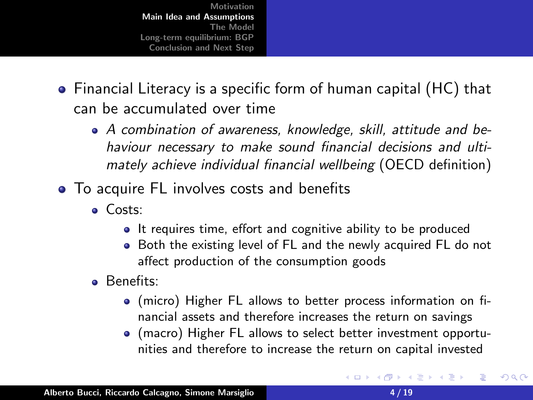- Financial Literacy is a specific form of human capital (HC) that can be accumulated over time
	- A combination of awareness, knowledge, skill, attitude and behaviour necessary to make sound financial decisions and ultimately achieve individual financial wellbeing (OECD definition)
- To acquire FL involves costs and benefits
	- Costs:
		- It requires time, effort and cognitive ability to be produced
		- Both the existing level of FL and the newly acquired FL do not affect production of the consumption goods
	- Benefits:
		- (micro) Higher FL allows to better process information on financial assets and therefore increases the return on savings
		- (macro) Higher FL allows to select better investment opportunities and therefore to increase the return on capital invested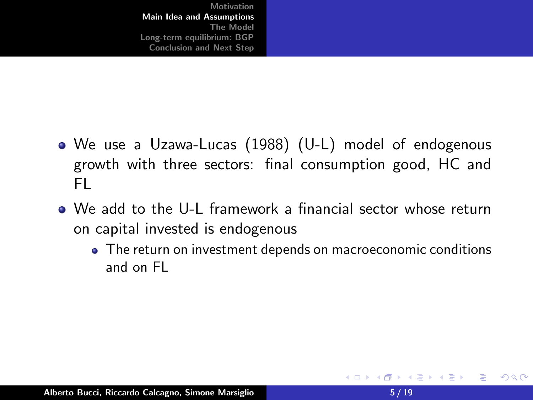- <span id="page-4-0"></span>We use a Uzawa-Lucas (1988) (U-L) model of endogenous growth with three sectors: final consumption good, HC and FL
- We add to the U-L framework a financial sector whose return on capital invested is endogenous
	- The return on investment depends on macroeconomic conditions and on FL

∢ @ ▶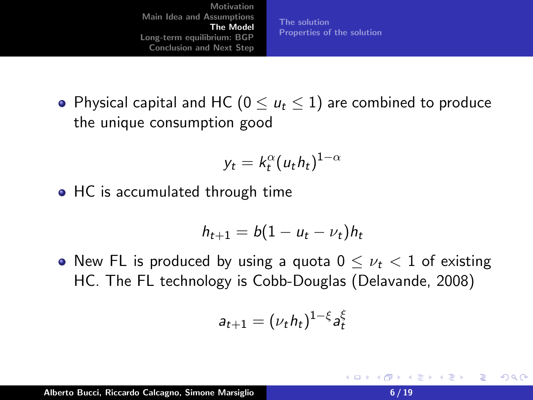[The solution](#page-8-0) [Properties of the solution](#page-9-0)

• Physical capital and HC ( $0 \le u_t \le 1$ ) are combined to produce the unique consumption good

$$
y_t = k_t^{\alpha} (u_t h_t)^{1-\alpha}
$$

• HC is accumulated through time

$$
h_{t+1}=b(1-u_t-\nu_t)h_t
$$

• New FL is produced by using a quota  $0 \leq \nu_t < 1$  of existing HC. The FL technology is Cobb-Douglas (Delavande, 2008)

$$
a_{t+1}=(\nu_t h_t)^{1-\xi}a_t^{\xi}
$$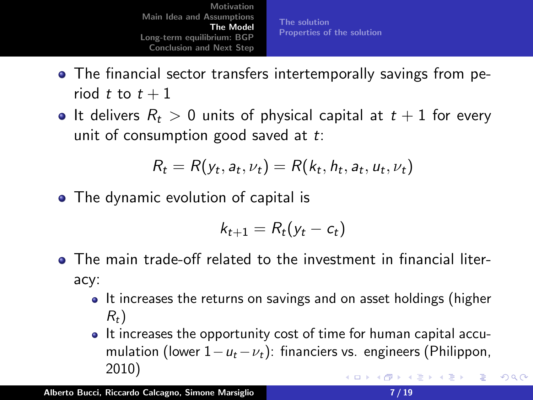- <span id="page-6-0"></span>The financial sector transfers intertemporally savings from period t to  $t + 1$
- It delivers  $R_t > 0$  units of physical capital at  $t + 1$  for every unit of consumption good saved at  $t$ :

$$
R_t = R(y_t, a_t, \nu_t) = R(k_t, h_t, a_t, u_t, \nu_t)
$$

• The dynamic evolution of capital is

$$
k_{t+1} = R_t(y_t - c_t)
$$

- The main trade-off related to the investment in financial literacy:
	- It increases the returns on savings and on asset holdings (higher  $R_t$ )
	- It increases the opportunity cost of time for human capital accumulation (lower  $1-u_t-v_t$ ): financiers vs. engineers (Philippon, 2010) メロメ メ御 メメ ヨメメ ヨメー 重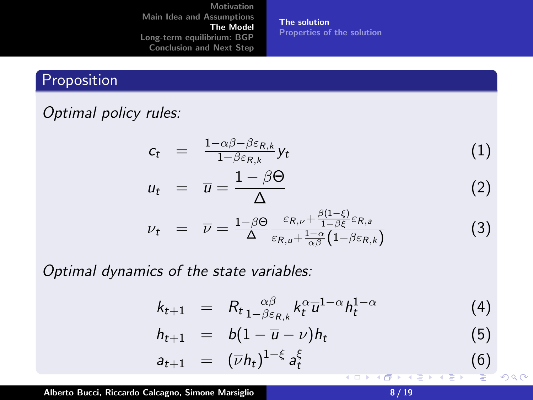[The solution](#page-8-0) [Properties of the solution](#page-9-0)

## Proposition

# Optimal policy rules:

$$
c_t = \frac{1 - \alpha \beta - \beta \varepsilon_{R,k}}{1 - \beta \varepsilon_{R,k}} y_t \tag{1}
$$

$$
u_t = \overline{u} = \frac{1 - \beta \Theta}{\Delta} \tag{2}
$$

$$
\nu_t = \overline{\nu} = \frac{1-\beta\Theta}{\Delta} \frac{\varepsilon_{R,\nu} + \frac{\beta(1-\xi)}{1-\beta\xi}\varepsilon_{R,a}}{\varepsilon_{R,\mu} + \frac{1-\alpha}{\alpha\beta}\left(1-\beta\varepsilon_{R,k}\right)} \tag{3}
$$

Optimal dynamics of the state variables:

$$
k_{t+1} = R_t \frac{\alpha \beta}{1 - \beta \varepsilon_{R,k}} k_t^{\alpha} \overline{u}^{1-\alpha} h_t^{1-\alpha}
$$
 (4)

$$
h_{t+1} = b(1 - \overline{u} - \overline{\nu})h_t \tag{5}
$$

$$
a_{t+1} = (\overline{\nu} h_t)^{1-\xi} a_t^{\xi} \tag{6}
$$

Alberto Bucci, Riccardo Calcagno, Simone Marsiglio 8 / 19

おす 島々

 $2Q$ 

≣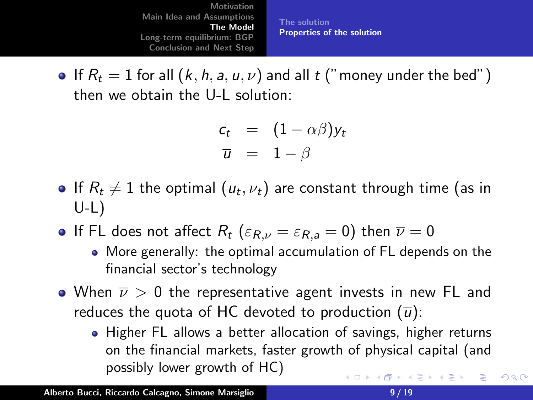[Motivation](#page-2-0) [Main Idea and Assumptions](#page-4-0) [The Model](#page-6-0) [Long-term equilibrium: BGP](#page-10-0) [Conclusion and Next Step](#page-17-0) [The solution](#page-8-0) [Properties of the solution](#page-9-0)

<span id="page-8-0"></span>**If**  $R_t = 1$  for all  $(k, h, a, u, v)$  and all t ("money under the bed") then we obtain the U-L solution:

$$
c_t = (1 - \alpha \beta) y_t
$$
  

$$
\overline{u} = 1 - \beta
$$

- If  $R_t\neq 1$  the optimal  $(u_t,\nu_t)$  are constant through time (as in  $U-L$ )
- **If FL does not affect R**<sub>t</sub> ( $\varepsilon_{R,\nu} = \varepsilon_{R,a} = 0$ ) then  $\overline{\nu} = 0$ 
	- More generally: the optimal accumulation of FL depends on the financial sector's technology
- $\bullet$  When  $\overline{\nu} > 0$  the representative agent invests in new FL and reduces the quota of HC devoted to production  $(\overline{u})$ :
	- Higher FL allows a better allocation of savings, higher returns on the financial markets, faster growth of physical capital (and possibly lower growth of HC) メロメ メ御 メメ ヨメ メヨメ 一番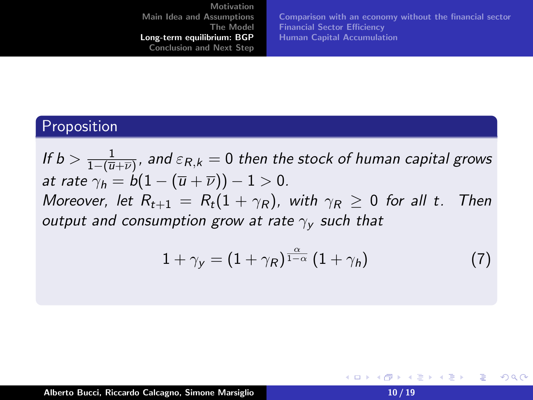[Comparison with an economy without the financial sector](#page-13-0) [Financial Sector Efficiency](#page-15-0) [Human Capital Accumulation](#page-16-0)

#### <span id="page-9-0"></span>Proposition

If  $b > \frac{1}{1-(\overline{u})}$  $\frac{1}{1-(\overline{u}+\overline{\nu})}$ , and  $\varepsilon_{R,k}=0$  then the stock of human capital grows at rate  $\gamma_h = b(1-(\overline{u}+\overline{\nu})) - 1 > 0$ . Moreover, let  $R_{t+1} = R_t(1 + \gamma_R)$ , with  $\gamma_R \geq 0$  for all t. Then output and consumption grow at rate  $\gamma_{\rm v}$  such that

<span id="page-9-1"></span>
$$
1 + \gamma_{y} = (1 + \gamma_{R})^{\frac{\alpha}{1 - \alpha}} (1 + \gamma_{h}) \tag{7}
$$

Alberto Bucci, Riccardo Calcagno, Simone Marsiglio 10 10 10 10 10 10 10 10 10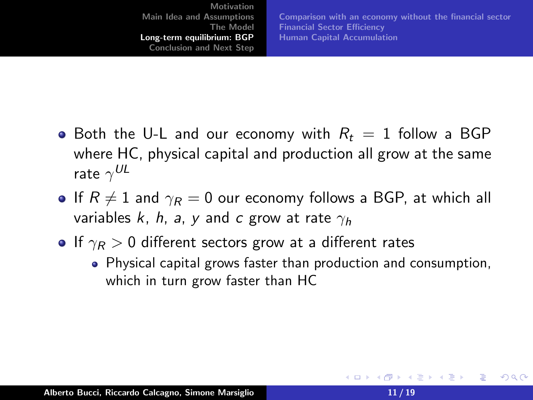<span id="page-10-0"></span>[Motivation](#page-2-0) [Main Idea and Assumptions](#page-4-0) [The Model](#page-6-0) [Long-term equilibrium: BGP](#page-10-0) [Conclusion and Next Step](#page-17-0) [Comparison with an economy without the financial sector](#page-13-0) [Financial Sector Efficiency](#page-15-0) [Human Capital Accumulation](#page-16-0)

- Both the U-L and our economy with  $R_t = 1$  follow a BGP where HC, physical capital and production all grow at the same rate  $\gamma^{UL}$
- If  $R \neq 1$  and  $\gamma_R = 0$  our economy follows a BGP, at which all variables k, h, a, y and c grow at rate  $\gamma_h$
- If  $\gamma_R > 0$  different sectors grow at a different rates
	- Physical capital grows faster than production and consumption, which in turn grow faster than HC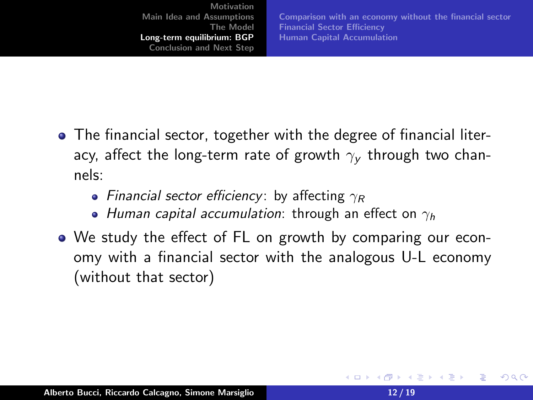[Comparison with an economy without the financial sector](#page-13-0) [Financial Sector Efficiency](#page-15-0) [Human Capital Accumulation](#page-16-0)

- The financial sector, together with the degree of financial literacy, affect the long-term rate of growth  $\gamma_V$  through two channels:
	- Financial sector efficiency: by affecting  $\gamma_R$
	- Human capital accumulation: through an effect on  $\gamma_h$
- We study the effect of FL on growth by comparing our economy with a financial sector with the analogous U-L economy (without that sector)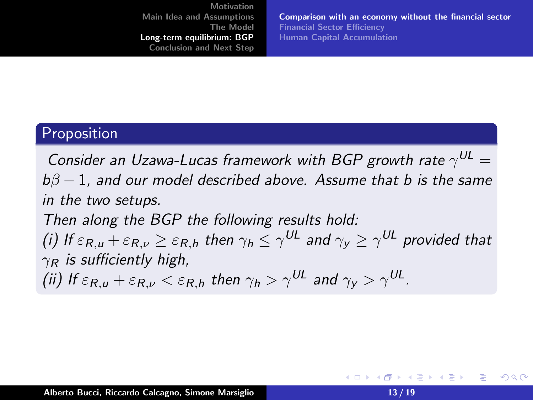[Comparison with an economy without the financial sector](#page-13-0) [Financial Sector Efficiency](#page-15-0) [Human Capital Accumulation](#page-16-0)

#### Proposition

Consider an Uzawa-Lucas framework with BGP growth rate  $\gamma^{UL} =$  $b\beta - 1$ , and our model described above. Assume that b is the same in the two setups. Then along the BGP the following results hold:

(i) If  $\varepsilon_{R,u}+\varepsilon_{R,\nu}\geq\varepsilon_{R,h}$  then  $\gamma_h\leq\gamma^{UL}$  and  $\gamma_y\geq\gamma^{UL}$  provided that  $\gamma_R$  is sufficiently high,

(ii) If  $\varepsilon_{R,\mu}+\varepsilon_{R,\nu}<\varepsilon_{R,h}$  then  $\gamma_h>\gamma^{UL}$  and  $\gamma_y>\gamma^{UL}.$ 

店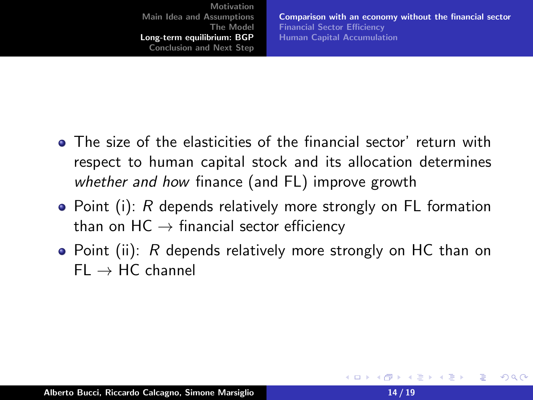[Comparison with an economy without the financial sector](#page-13-0) [Financial Sector Efficiency](#page-15-0) [Human Capital Accumulation](#page-16-0)

- <span id="page-13-0"></span>The size of the elasticities of the financial sector' return with respect to human capital stock and its allocation determines whether and how finance (and FL) improve growth
- Point (i): R depends relatively more strongly on FL formation than on  $HC \rightarrow$  financial sector efficiency
- Point (ii): R depends relatively more strongly on HC than on  $FI \rightarrow HC$  channel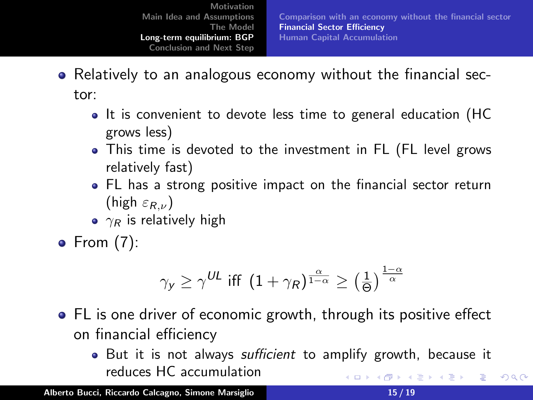[Comparison with an economy without the financial sector](#page-13-0) [Financial Sector Efficiency](#page-15-0) [Human Capital Accumulation](#page-16-0)

- Relatively to an analogous economy without the financial sector:
	- It is convenient to devote less time to general education (HC grows less)
	- This time is devoted to the investment in FL (FL level grows relatively fast)
	- FL has a strong positive impact on the financial sector return (high  $\varepsilon_{R,\nu}$ )
	- $\gamma_R$  is relatively high
- $\bullet$  From [\(7\)](#page-9-1):

$$
\gamma_y \geq \gamma^{UL} \text{ iff } \left(1+\gamma_R\right)^{\frac{\alpha}{1-\alpha}} \geq \left(\frac{1}{\Theta}\right)^{\frac{1-\alpha}{\alpha}}
$$

- FL is one driver of economic growth, through its positive effect on financial efficiency
	- But it is not always *sufficient* to amplify growth, because it reduces HC accumulation **K ロ ▶ K 御 ▶ K 君 ▶ K 君 ▶ ○君**

Alberto Bucci, Riccardo Calcagno, Simone Marsiglio 15 / 15 / 19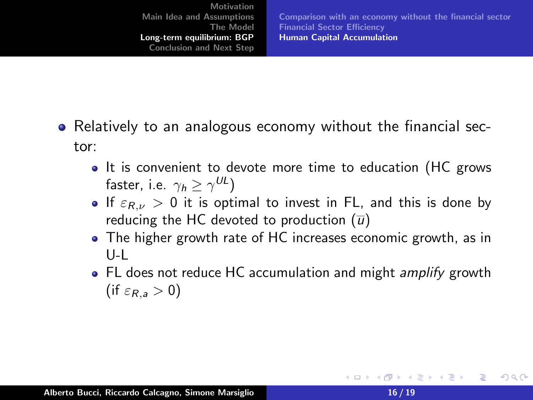[Comparison with an economy without the financial sector](#page-13-0) [Financial Sector Efficiency](#page-15-0) [Human Capital Accumulation](#page-16-0)

- <span id="page-15-0"></span>• Relatively to an analogous economy without the financial sector:
	- It is convenient to devote more time to education (HC grows faster, i.e.  $\gamma_h \ge \gamma^{UL}$ )
	- If  $\varepsilon_{R,\nu} > 0$  it is optimal to invest in FL, and this is done by reducing the HC devoted to production  $(\overline{u})$
	- The higher growth rate of HC increases economic growth, as in U-L
	- FL does not reduce HC accumulation and might *amplify* growth (if  $\varepsilon_{R,a} > 0$ )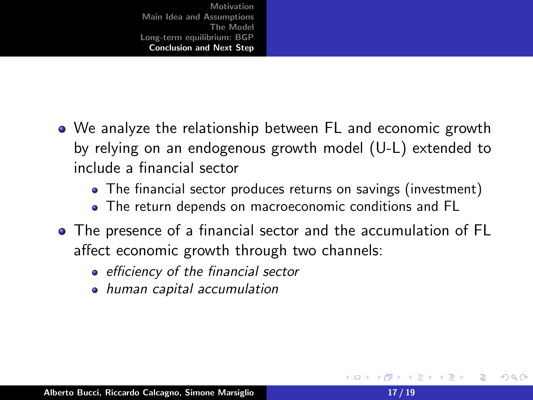- <span id="page-16-0"></span>We analyze the relationship between FL and economic growth by relying on an endogenous growth model (U-L) extended to include a financial sector
	- The financial sector produces returns on savings (investment)
	- The return depends on macroeconomic conditions and FL
- The presence of a financial sector and the accumulation of FL affect economic growth through two channels:
	- efficiency of the financial sector
	- human capital accumulation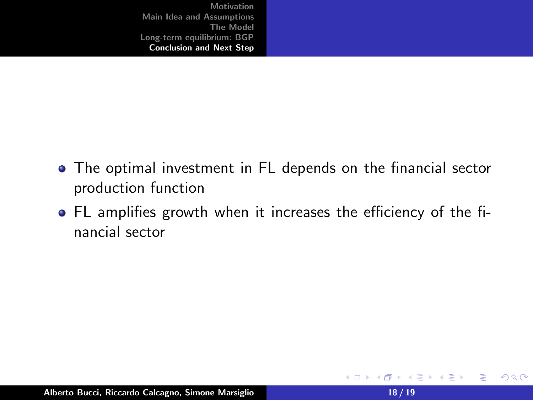- <span id="page-17-0"></span>The optimal investment in FL depends on the financial sector production function
- FL amplifies growth when it increases the efficiency of the financial sector

重